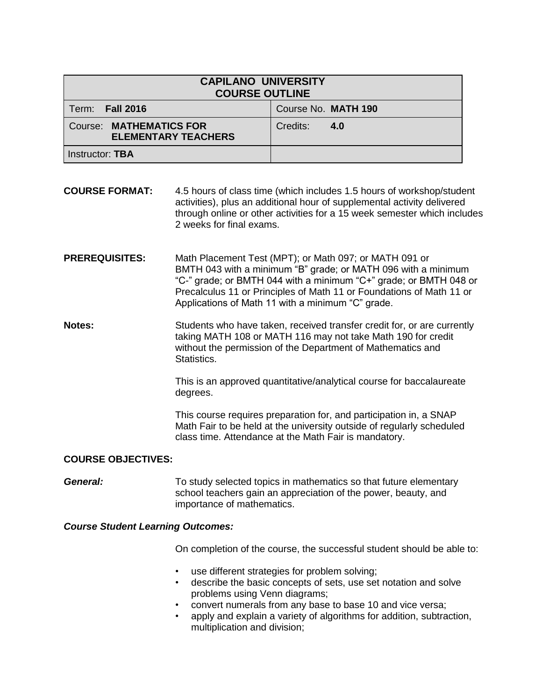| <b>CAPILANO UNIVERSITY</b><br><b>COURSE OUTLINE</b>          |                     |  |
|--------------------------------------------------------------|---------------------|--|
| Term: <b>Fall 2016</b>                                       | Course No. MATH 190 |  |
| <b>Course: MATHEMATICS FOR</b><br><b>ELEMENTARY TEACHERS</b> | Credits:<br>$-4.0$  |  |
| Instructor: TBA                                              |                     |  |

- **COURSE FORMAT:** 4.5 hours of class time (which includes 1.5 hours of workshop/student activities), plus an additional hour of supplemental activity delivered through online or other activities for a 15 week semester which includes 2 weeks for final exams.
- **PREREQUISITES:** Math Placement Test (MPT); or Math 097; or MATH 091 or BMTH 043 with a minimum "B" grade; or MATH 096 with a minimum "C-" grade; or BMTH 044 with a minimum "C+" grade; or BMTH 048 or Precalculus 11 or Principles of Math 11 or Foundations of Math 11 or Applications of Math 11 with a minimum "C" grade.
- **Notes:** Students who have taken, received transfer credit for, or are currently taking MATH 108 or MATH 116 may not take Math 190 for credit without the permission of the Department of Mathematics and Statistics.

This is an approved quantitative/analytical course for baccalaureate degrees.

This course requires preparation for, and participation in, a SNAP Math Fair to be held at the university outside of regularly scheduled class time. Attendance at the Math Fair is mandatory.

### **COURSE OBJECTIVES:**

**General:** To study selected topics in mathematics so that future elementary school teachers gain an appreciation of the power, beauty, and importance of mathematics.

### *Course Student Learning Outcomes:*

On completion of the course, the successful student should be able to:

- use different strategies for problem solving;
- describe the basic concepts of sets, use set notation and solve problems using Venn diagrams;
- convert numerals from any base to base 10 and vice versa;
- apply and explain a variety of algorithms for addition, subtraction, multiplication and division;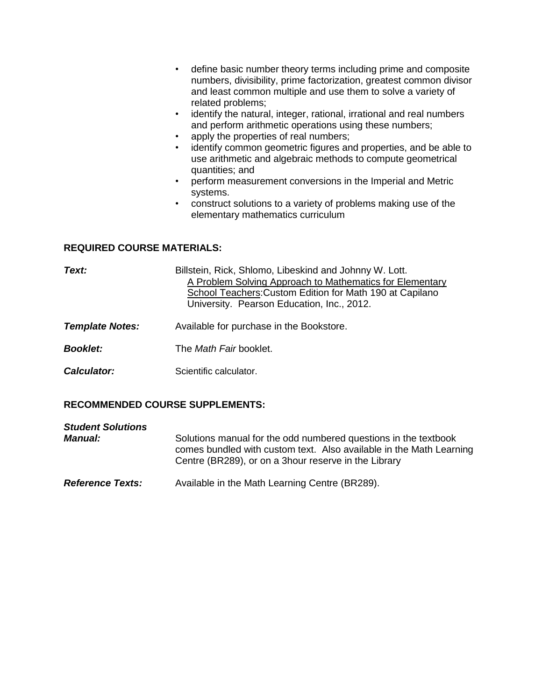- define basic number theory terms including prime and composite numbers, divisibility, prime factorization, greatest common divisor and least common multiple and use them to solve a variety of related problems;
- identify the natural, integer, rational, irrational and real numbers and perform arithmetic operations using these numbers;
- apply the properties of real numbers;
- identify common geometric figures and properties, and be able to use arithmetic and algebraic methods to compute geometrical quantities; and
- perform measurement conversions in the Imperial and Metric systems.
- construct solutions to a variety of problems making use of the elementary mathematics curriculum

# **REQUIRED COURSE MATERIALS:**

| Text:                  | Billstein, Rick, Shlomo, Libeskind and Johnny W. Lott.<br>A Problem Solving Approach to Mathematics for Elementary<br>School Teachers: Custom Edition for Math 190 at Capilano<br>University. Pearson Education, Inc., 2012. |
|------------------------|------------------------------------------------------------------------------------------------------------------------------------------------------------------------------------------------------------------------------|
| <b>Template Notes:</b> | Available for purchase in the Bookstore.                                                                                                                                                                                     |
| <b>Booklet:</b>        | The <i>Math Fair</i> booklet.                                                                                                                                                                                                |
| <b>Calculator:</b>     | Scientific calculator.                                                                                                                                                                                                       |

# **RECOMMENDED COURSE SUPPLEMENTS:**

| <b>Student Solutions</b><br><b>Manual:</b> | Solutions manual for the odd numbered questions in the textbook<br>comes bundled with custom text. Also available in the Math Learning<br>Centre (BR289), or on a 3hour reserve in the Library |
|--------------------------------------------|------------------------------------------------------------------------------------------------------------------------------------------------------------------------------------------------|
| <b>Reference Texts:</b>                    | Available in the Math Learning Centre (BR289).                                                                                                                                                 |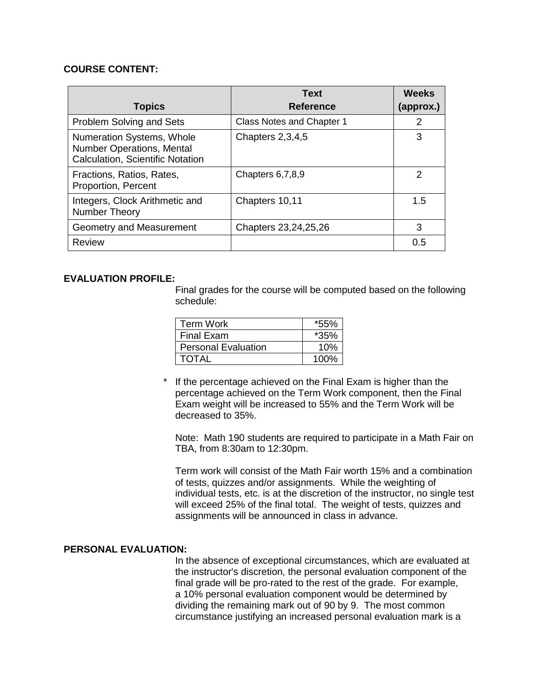## **COURSE CONTENT:**

|                                                                                                   | <b>Text</b>                      | <b>Weeks</b>  |
|---------------------------------------------------------------------------------------------------|----------------------------------|---------------|
| <b>Topics</b>                                                                                     | <b>Reference</b>                 | (approx.)     |
| Problem Solving and Sets                                                                          | <b>Class Notes and Chapter 1</b> | 2             |
| Numeration Systems, Whole<br><b>Number Operations, Mental</b><br>Calculation, Scientific Notation | Chapters 2,3,4,5                 | 3             |
| Fractions, Ratios, Rates,<br>Proportion, Percent                                                  | Chapters 6,7,8,9                 | $\mathcal{P}$ |
| Integers, Clock Arithmetic and<br><b>Number Theory</b>                                            | Chapters 10,11                   | 1.5           |
| Geometry and Measurement                                                                          | Chapters 23, 24, 25, 26          | 3             |
| Review                                                                                            |                                  | 0.5           |

# **EVALUATION PROFILE:**

Final grades for the course will be computed based on the following schedule:

| <b>Term Work</b>           | *55%   |
|----------------------------|--------|
| <b>Final Exam</b>          | $*35%$ |
| <b>Personal Evaluation</b> | 10%    |
| <b>TOTAL</b>               | 100%   |

If the percentage achieved on the Final Exam is higher than the percentage achieved on the Term Work component, then the Final Exam weight will be increased to 55% and the Term Work will be decreased to 35%.

Note: Math 190 students are required to participate in a Math Fair on TBA, from 8:30am to 12:30pm.

Term work will consist of the Math Fair worth 15% and a combination of tests, quizzes and/or assignments. While the weighting of individual tests, etc. is at the discretion of the instructor, no single test will exceed 25% of the final total. The weight of tests, quizzes and assignments will be announced in class in advance.

# **PERSONAL EVALUATION:**

In the absence of exceptional circumstances, which are evaluated at the instructor's discretion, the personal evaluation component of the final grade will be pro-rated to the rest of the grade. For example, a 10% personal evaluation component would be determined by dividing the remaining mark out of 90 by 9. The most common circumstance justifying an increased personal evaluation mark is a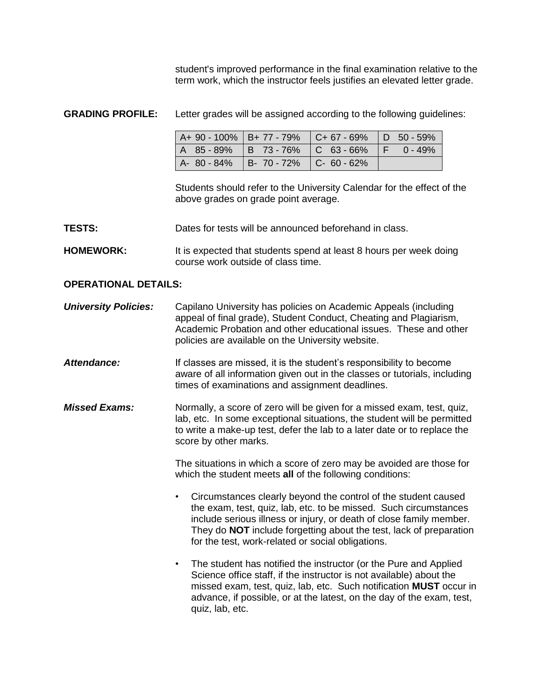student's improved performance in the final examination relative to the term work, which the instructor feels justifies an elevated letter grade.

## **GRADING PROFILE:** Letter grades will be assigned according to the following guidelines:

| A+ 90 - 100%   B+ 77 - 79%   C+ 67 - 69%   D 50 - 59% |  |
|-------------------------------------------------------|--|
| A 85-89%  B 73-76%  C 63-66%  F 0-49%                 |  |
| A- 80 - 84%   B- 70 - 72%   C- 60 - 62%               |  |

Students should refer to the University Calendar for the effect of the above grades on grade point average.

**TESTS:** Dates for tests will be announced beforehand in class.

**HOMEWORK:** It is expected that students spend at least 8 hours per week doing course work outside of class time.

### **OPERATIONAL DETAILS:**

*University Policies:* Capilano University has policies on Academic Appeals (including appeal of final grade), Student Conduct, Cheating and Plagiarism, Academic Probation and other educational issues. These and other policies are available on the University website.

Attendance: If classes are missed, it is the student's responsibility to become aware of all information given out in the classes or tutorials, including times of examinations and assignment deadlines.

*Missed Exams:* Normally, a score of zero will be given for a missed exam, test, quiz, lab, etc. In some exceptional situations, the student will be permitted to write a make-up test, defer the lab to a later date or to replace the score by other marks.

> The situations in which a score of zero may be avoided are those for which the student meets **all** of the following conditions:

- Circumstances clearly beyond the control of the student caused the exam, test, quiz, lab, etc. to be missed. Such circumstances include serious illness or injury, or death of close family member. They do **NOT** include forgetting about the test, lack of preparation for the test, work-related or social obligations.
- The student has notified the instructor (or the Pure and Applied Science office staff, if the instructor is not available) about the missed exam, test, quiz, lab, etc. Such notification **MUST** occur in advance, if possible, or at the latest, on the day of the exam, test, quiz, lab, etc.